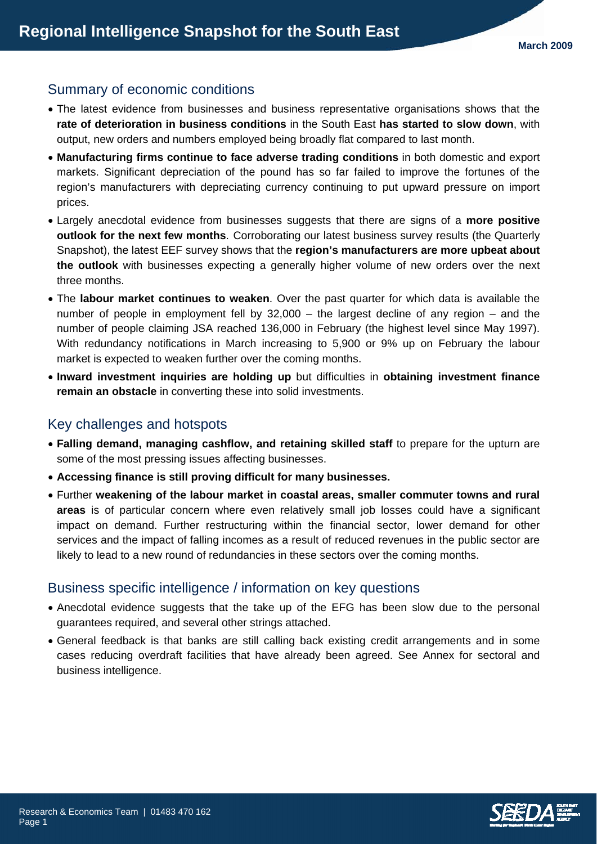# Summary of economic conditions

- The latest evidence from businesses and business representative organisations shows that the **rate of deterioration in business conditions** in the South East **has started to slow down**, with output, new orders and numbers employed being broadly flat compared to last month.
- **Manufacturing firms continue to face adverse trading conditions** in both domestic and export markets. Significant depreciation of the pound has so far failed to improve the fortunes of the region's manufacturers with depreciating currency continuing to put upward pressure on import prices.
- Largely anecdotal evidence from businesses suggests that there are signs of a **more positive outlook for the next few months**. Corroborating our latest business survey results (the Quarterly Snapshot), the latest EEF survey shows that the **region's manufacturers are more upbeat about the outlook** with businesses expecting a generally higher volume of new orders over the next three months.
- The **labour market continues to weaken**. Over the past quarter for which data is available the number of people in employment fell by 32,000 – the largest decline of any region – and the number of people claiming JSA reached 136,000 in February (the highest level since May 1997). With redundancy notifications in March increasing to 5,900 or 9% up on February the labour market is expected to weaken further over the coming months.
- **Inward investment inquiries are holding up** but difficulties in **obtaining investment finance remain an obstacle** in converting these into solid investments.

## Key challenges and hotspots

- **Falling demand, managing cashflow, and retaining skilled staff** to prepare for the upturn are some of the most pressing issues affecting businesses.
- **Accessing finance is still proving difficult for many businesses.**
- Further **weakening of the labour market in coastal areas, smaller commuter towns and rural areas** is of particular concern where even relatively small job losses could have a significant impact on demand. Further restructuring within the financial sector, lower demand for other services and the impact of falling incomes as a result of reduced revenues in the public sector are likely to lead to a new round of redundancies in these sectors over the coming months.

### Business specific intelligence / information on key questions

- Anecdotal evidence suggests that the take up of the EFG has been slow due to the personal guarantees required, and several other strings attached.
- General feedback is that banks are still calling back existing credit arrangements and in some cases reducing overdraft facilities that have already been agreed. See Annex for sectoral and business intelligence.

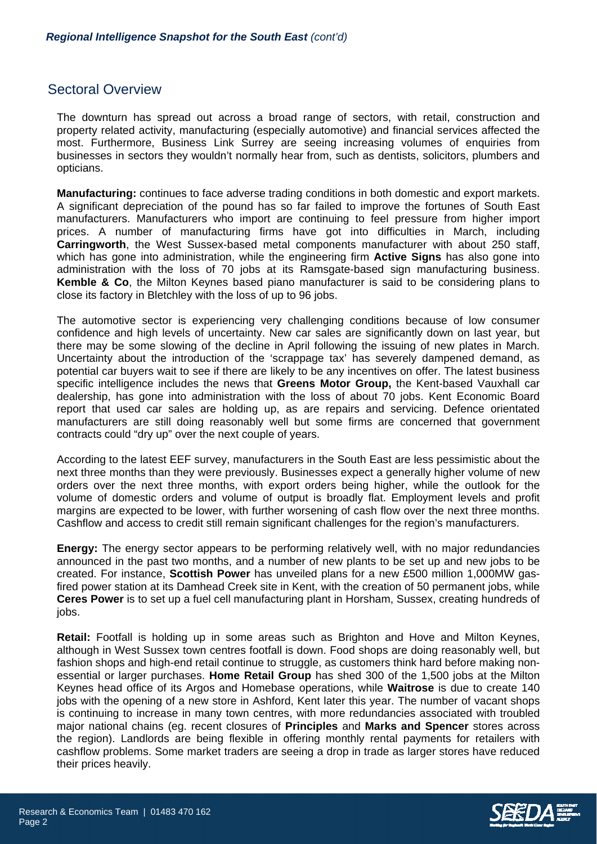### Sectoral Overview

The downturn has spread out across a broad range of sectors, with retail, construction and property related activity, manufacturing (especially automotive) and financial services affected the most. Furthermore, Business Link Surrey are seeing increasing volumes of enquiries from businesses in sectors they wouldn't normally hear from, such as dentists, solicitors, plumbers and opticians.

**Manufacturing:** continues to face adverse trading conditions in both domestic and export markets. A significant depreciation of the pound has so far failed to improve the fortunes of South East manufacturers. Manufacturers who import are continuing to feel pressure from higher import prices. A number of manufacturing firms have got into difficulties in March, including **Carringworth**, the West Sussex-based metal components manufacturer with about 250 staff, which has gone into administration, while the engineering firm **Active Signs** has also gone into administration with the loss of 70 jobs at its Ramsgate-based sign manufacturing business. **Kemble & Co**, the Milton Keynes based piano manufacturer is said to be considering plans to close its factory in Bletchley with the loss of up to 96 jobs.

The automotive sector is experiencing very challenging conditions because of low consumer confidence and high levels of uncertainty. New car sales are significantly down on last year, but there may be some slowing of the decline in April following the issuing of new plates in March. Uncertainty about the introduction of the 'scrappage tax' has severely dampened demand, as potential car buyers wait to see if there are likely to be any incentives on offer. The latest business specific intelligence includes the news that **Greens Motor Group,** the Kent-based Vauxhall car dealership, has gone into administration with the loss of about 70 jobs. Kent Economic Board report that used car sales are holding up, as are repairs and servicing. Defence orientated manufacturers are still doing reasonably well but some firms are concerned that government contracts could "dry up" over the next couple of years.

According to the latest EEF survey, manufacturers in the South East are less pessimistic about the next three months than they were previously. Businesses expect a generally higher volume of new orders over the next three months, with export orders being higher, while the outlook for the volume of domestic orders and volume of output is broadly flat. Employment levels and profit margins are expected to be lower, with further worsening of cash flow over the next three months. Cashflow and access to credit still remain significant challenges for the region's manufacturers.

**Energy:** The energy sector appears to be performing relatively well, with no major redundancies announced in the past two months, and a number of new plants to be set up and new jobs to be created. For instance, **Scottish Power** has unveiled plans for a new £500 million 1,000MW gasfired power station at its Damhead Creek site in Kent, with the creation of 50 permanent jobs, while **Ceres Power** is to set up a fuel cell manufacturing plant in Horsham, Sussex, creating hundreds of jobs.

**Retail:** Footfall is holding up in some areas such as Brighton and Hove and Milton Keynes, although in West Sussex town centres footfall is down. Food shops are doing reasonably well, but fashion shops and high-end retail continue to struggle, as customers think hard before making nonessential or larger purchases. **Home Retail Group** has shed 300 of the 1,500 jobs at the Milton Keynes head office of its Argos and Homebase operations, while **Waitrose** is due to create 140 jobs with the opening of a new store in Ashford, Kent later this year. The number of vacant shops is continuing to increase in many town centres, with more redundancies associated with troubled major national chains (eg. recent closures of **Principles** and **Marks and Spencer** stores across the region). Landlords are being flexible in offering monthly rental payments for retailers with cashflow problems. Some market traders are seeing a drop in trade as larger stores have reduced their prices heavily.

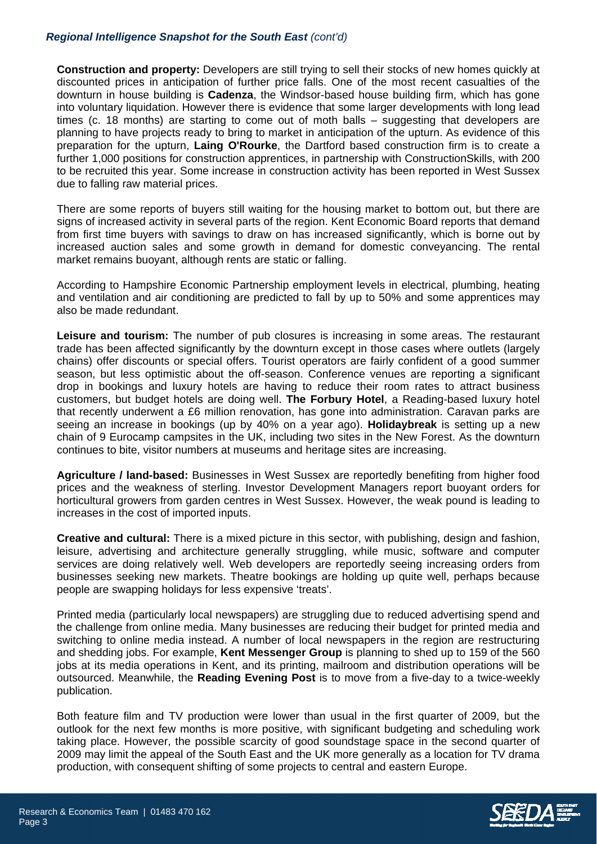#### *Regional Intelligence Snapshot for the South East (cont'd)*

**Construction and property:** Developers are still trying to sell their stocks of new homes quickly at discounted prices in anticipation of further price falls. One of the most recent casualties of the downturn in house building is **Cadenza**, the Windsor-based house building firm, which has gone into voluntary liquidation. However there is evidence that some larger developments with long lead times (c. 18 months) are starting to come out of moth balls – suggesting that developers are planning to have projects ready to bring to market in anticipation of the upturn. As evidence of this preparation for the upturn, **Laing O'Rourke**, the Dartford based construction firm is to create a further 1,000 positions for construction apprentices, in partnership with ConstructionSkills, with 200 to be recruited this year. Some increase in construction activity has been reported in West Sussex due to falling raw material prices.

There are some reports of buyers still waiting for the housing market to bottom out, but there are signs of increased activity in several parts of the region. Kent Economic Board reports that demand from first time buyers with savings to draw on has increased significantly, which is borne out by increased auction sales and some growth in demand for domestic conveyancing. The rental market remains buoyant, although rents are static or falling.

According to Hampshire Economic Partnership employment levels in electrical, plumbing, heating and ventilation and air conditioning are predicted to fall by up to 50% and some apprentices may also be made redundant.

**Leisure and tourism:** The number of pub closures is increasing in some areas. The restaurant trade has been affected significantly by the downturn except in those cases where outlets (largely chains) offer discounts or special offers. Tourist operators are fairly confident of a good summer season, but less optimistic about the off-season. Conference venues are reporting a significant drop in bookings and luxury hotels are having to reduce their room rates to attract business customers, but budget hotels are doing well. **The Forbury Hotel**, a Reading-based luxury hotel that recently underwent a £6 million renovation, has gone into administration. Caravan parks are seeing an increase in bookings (up by 40% on a year ago). **Holidaybreak** is setting up a new chain of 9 Eurocamp campsites in the UK, including two sites in the New Forest. As the downturn continues to bite, visitor numbers at museums and heritage sites are increasing.

**Agriculture / land-based:** Businesses in West Sussex are reportedly benefiting from higher food prices and the weakness of sterling. Investor Development Managers report buoyant orders for horticultural growers from garden centres in West Sussex. However, the weak pound is leading to increases in the cost of imported inputs.

**Creative and cultural:** There is a mixed picture in this sector, with publishing, design and fashion, leisure, advertising and architecture generally struggling, while music, software and computer services are doing relatively well. Web developers are reportedly seeing increasing orders from businesses seeking new markets. Theatre bookings are holding up quite well, perhaps because people are swapping holidays for less expensive 'treats'.

Printed media (particularly local newspapers) are struggling due to reduced advertising spend and the challenge from online media. Many businesses are reducing their budget for printed media and switching to online media instead. A number of local newspapers in the region are restructuring and shedding jobs. For example, **Kent Messenger Group** is planning to shed up to 159 of the 560 jobs at its media operations in Kent, and its printing, mailroom and distribution operations will be outsourced. Meanwhile, the **Reading Evening Post** is to move from a five-day to a twice-weekly publication.

Both feature film and TV production were lower than usual in the first quarter of 2009, but the outlook for the next few months is more positive, with significant budgeting and scheduling work taking place. However, the possible scarcity of good soundstage space in the second quarter of 2009 may limit the appeal of the South East and the UK more generally as a location for TV drama production, with consequent shifting of some projects to central and eastern Europe.



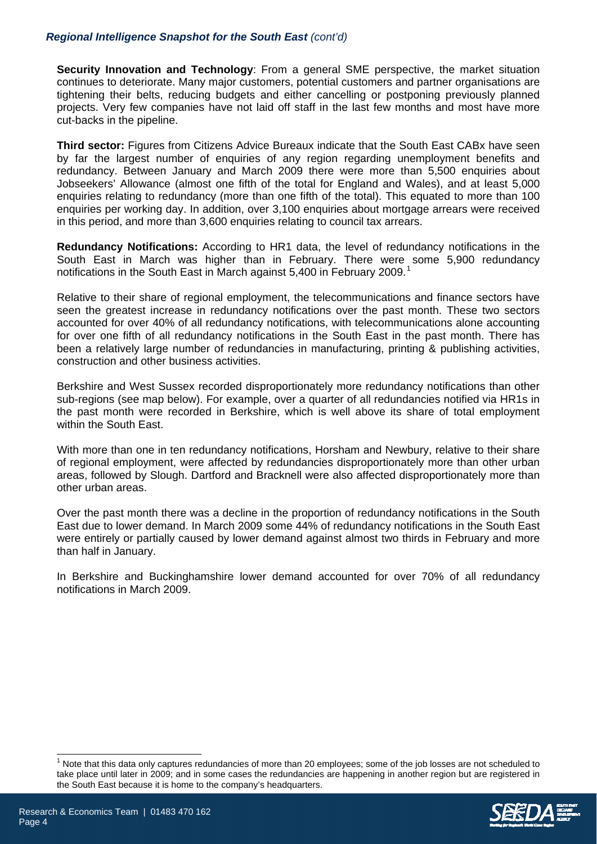#### *Regional Intelligence Snapshot for the South East (cont'd)*

**Security Innovation and Technology**: From a general SME perspective, the market situation continues to deteriorate. Many major customers, potential customers and partner organisations are tightening their belts, reducing budgets and either cancelling or postponing previously planned projects. Very few companies have not laid off staff in the last few months and most have more cut-backs in the pipeline.

**Third sector:** Figures from Citizens Advice Bureaux indicate that the South East CABx have seen by far the largest number of enquiries of any region regarding unemployment benefits and redundancy. Between January and March 2009 there were more than 5,500 enquiries about Jobseekers' Allowance (almost one fifth of the total for England and Wales), and at least 5,000 enquiries relating to redundancy (more than one fifth of the total). This equated to more than 100 enquiries per working day. In addition, over 3,100 enquiries about mortgage arrears were received in this period, and more than 3,600 enquiries relating to council tax arrears.

**Redundancy Notifications:** According to HR1 data, the level of redundancy notifications in the South East in March was higher than in February. There were some 5,900 redundancy notifications in the South East in March against 5,400 in February 2009.<sup>[1](#page-3-0)</sup>

Relative to their share of regional employment, the telecommunications and finance sectors have seen the greatest increase in redundancy notifications over the past month. These two sectors accounted for over 40% of all redundancy notifications, with telecommunications alone accounting for over one fifth of all redundancy notifications in the South East in the past month. There has been a relatively large number of redundancies in manufacturing, printing & publishing activities, construction and other business activities.

Berkshire and West Sussex recorded disproportionately more redundancy notifications than other sub-regions (see map below). For example, over a quarter of all redundancies notified via HR1s in the past month were recorded in Berkshire, which is well above its share of total employment within the South East.

With more than one in ten redundancy notifications, Horsham and Newbury, relative to their share of regional employment, were affected by redundancies disproportionately more than other urban areas, followed by Slough. Dartford and Bracknell were also affected disproportionately more than other urban areas.

Over the past month there was a decline in the proportion of redundancy notifications in the South East due to lower demand. In March 2009 some 44% of redundancy notifications in the South East were entirely or partially caused by lower demand against almost two thirds in February and more than half in January.

In Berkshire and Buckinghamshire lower demand accounted for over 70% of all redundancy notifications in March 2009.

<span id="page-3-0"></span><sup>1</sup> Note that this data only captures redundancies of more than 20 employees; some of the job losses are not scheduled to take place until later in 2009; and in some cases the redundancies are happening in another region but are registered in the South East because it is home to the company's headquarters.



 $\overline{a}$